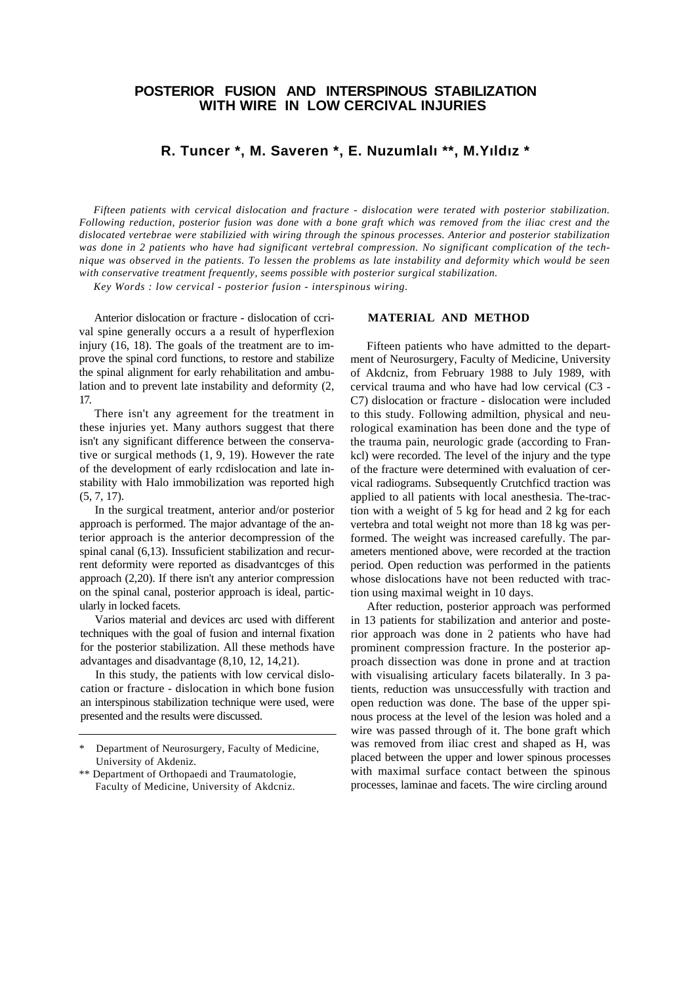## **POSTERIOR FUSION AND INTERSPINOUS STABILIZATION WITH WIRE IN LOW CERCIVAL INJURIES**

# **R. Tuncer \*, M. Saveren \*, E. Nuzumlalı \*\*, M.Yıldız \***

*Fifteen patients with cervical dislocation and fracture - dislocation were terated with posterior stabilization. Following reduction, posterior fusion was done with a bone graft which was removed from the iliac crest and the dislocated vertebrae were stabilizied with wiring through the spinous processes. Anterior and posterior stabilization was done in 2 patients who have had significant vertebral compression. No significant complication of the technique was observed in the patients. To lessen the problems as late instability and deformity which would be seen with conservative treatment frequently, seems possible with posterior surgical stabilization.*

*Key Words : low cervical - posterior fusion - interspinous wiring.*

Anterior dislocation or fracture - dislocation of ccrival spine generally occurs a a result of hyperflexion injury (16, 18). The goals of the treatment are to improve the spinal cord functions, to restore and stabilize the spinal alignment for early rehabilitation and ambulation and to prevent late instability and deformity (2, 17.

There isn't any agreement for the treatment in these injuries yet. Many authors suggest that there isn't any significant difference between the conservative or surgical methods (1, 9, 19). However the rate of the development of early rcdislocation and late instability with Halo immobilization was reported high (5, 7, 17).

In the surgical treatment, anterior and/or posterior approach is performed. The major advantage of the anterior approach is the anterior decompression of the spinal canal (6,13). Inssuficient stabilization and recurrent deformity were reported as disadvantcges of this approach (2,20). If there isn't any anterior compression on the spinal canal, posterior approach is ideal, particularly in locked facets.

Varios material and devices arc used with different techniques with the goal of fusion and internal fixation for the posterior stabilization. All these methods have advantages and disadvantage (8,10, 12, 14,21).

In this study, the patients with low cervical dislocation or fracture - dislocation in which bone fusion an interspinous stabilization technique were used, were presented and the results were discussed.

#### **MATERIAL AND METHOD**

Fifteen patients who have admitted to the department of Neurosurgery, Faculty of Medicine, University of Akdcniz, from February 1988 to July 1989, with cervical trauma and who have had low cervical (C3 - C7) dislocation or fracture - dislocation were included to this study. Following admiltion, physical and neurological examination has been done and the type of the trauma pain, neurologic grade (according to Frankcl) were recorded. The level of the injury and the type of the fracture were determined with evaluation of cervical radiograms. Subsequently Crutchficd traction was applied to all patients with local anesthesia. The-traction with a weight of 5 kg for head and 2 kg for each vertebra and total weight not more than 18 kg was performed. The weight was increased carefully. The parameters mentioned above, were recorded at the traction period. Open reduction was performed in the patients whose dislocations have not been reducted with traction using maximal weight in 10 days.

After reduction, posterior approach was performed in 13 patients for stabilization and anterior and posterior approach was done in 2 patients who have had prominent compression fracture. In the posterior approach dissection was done in prone and at traction with visualising articulary facets bilaterally. In 3 patients, reduction was unsuccessfully with traction and open reduction was done. The base of the upper spinous process at the level of the lesion was holed and a wire was passed through of it. The bone graft which was removed from iliac crest and shaped as H, was placed between the upper and lower spinous processes with maximal surface contact between the spinous processes, laminae and facets. The wire circling around

Department of Neurosurgery, Faculty of Medicine, University of Akdeniz.

<sup>\*\*</sup> Department of Orthopaedi and Traumatologie, Faculty of Medicine, University of Akdcniz.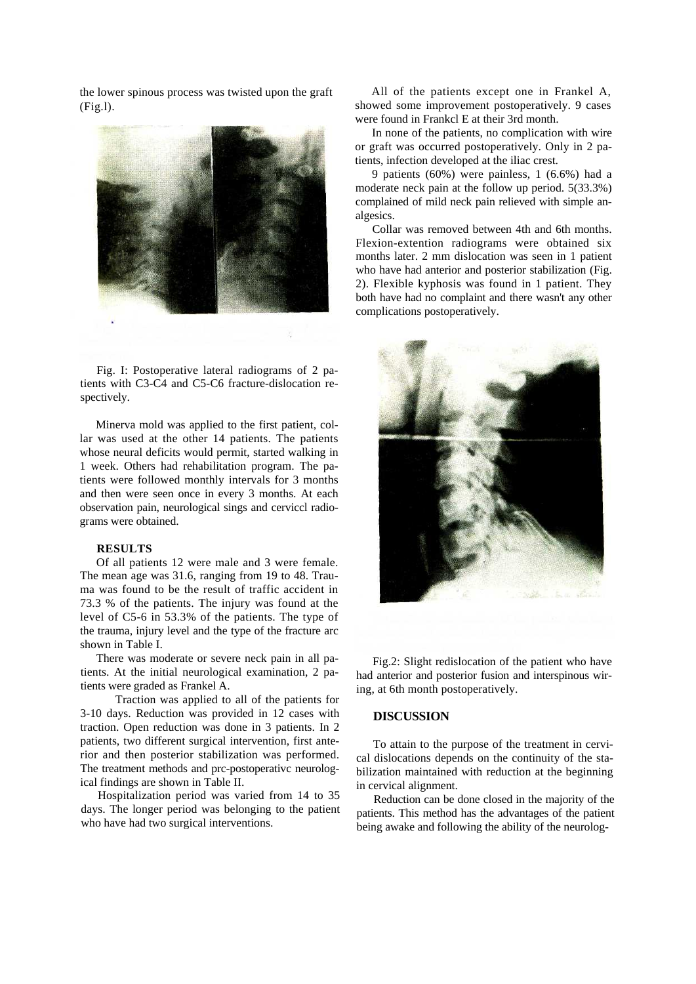the lower spinous process was twisted upon the graft (Fig.l).



Fig. I: Postoperative lateral radiograms of 2 patients with C3-C4 and C5-C6 fracture-dislocation respectively.

Minerva mold was applied to the first patient, collar was used at the other 14 patients. The patients whose neural deficits would permit, started walking in 1 week. Others had rehabilitation program. The patients were followed monthly intervals for 3 months and then were seen once in every 3 months. At each observation pain, neurological sings and cerviccl radiograms were obtained.

#### **RESULTS**

Of all patients 12 were male and 3 were female. The mean age was 31.6, ranging from 19 to 48. Trauma was found to be the result of traffic accident in 73.3 % of the patients. The injury was found at the level of C5-6 in 53.3% of the patients. The type of the trauma, injury level and the type of the fracture arc shown in Table I.

There was moderate or severe neck pain in all patients. At the initial neurological examination, 2 patients were graded as Frankel A.

Traction was applied to all of the patients for 3-10 days. Reduction was provided in 12 cases with traction. Open reduction was done in 3 patients. In 2 patients, two different surgical intervention, first anterior and then posterior stabilization was performed. The treatment methods and prc-postoperativc neurological findings are shown in Table II.

Hospitalization period was varied from 14 to 35 days. The longer period was belonging to the patient who have had two surgical interventions.

All of the patients except one in Frankel A, showed some improvement postoperatively. 9 cases were found in Frankcl E at their 3rd month.

In none of the patients, no complication with wire or graft was occurred postoperatively. Only in 2 patients, infection developed at the iliac crest.

9 patients (60%) were painless, 1 (6.6%) had a moderate neck pain at the follow up period. 5(33.3%) complained of mild neck pain relieved with simple analgesics.

Collar was removed between 4th and 6th months. Flexion-extention radiograms were obtained six months later. 2 mm dislocation was seen in 1 patient who have had anterior and posterior stabilization (Fig. 2). Flexible kyphosis was found in 1 patient. They both have had no complaint and there wasn't any other complications postoperatively.



Fig.2: Slight redislocation of the patient who have had anterior and posterior fusion and interspinous wiring, at 6th month postoperatively.

### **DISCUSSION**

To attain to the purpose of the treatment in cervical dislocations depends on the continuity of the stabilization maintained with reduction at the beginning in cervical alignment.

Reduction can be done closed in the majority of the patients. This method has the advantages of the patient being awake and following the ability of the neurolog-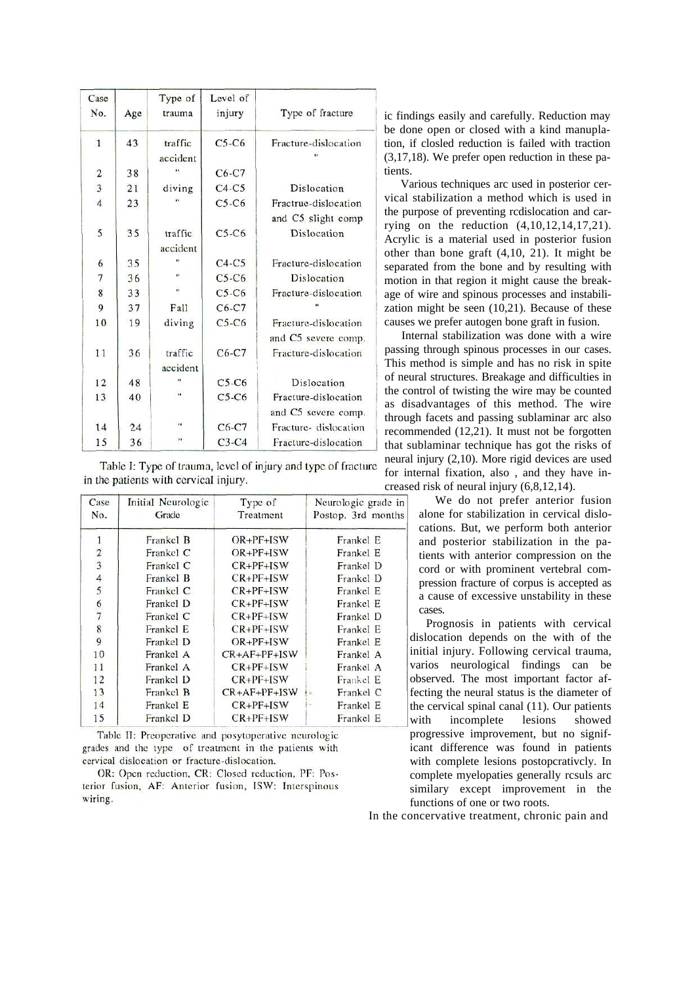| Case<br>No.             | Age | Type of<br>trauma    | Level of<br>injury | Type of fracture                            |
|-------------------------|-----|----------------------|--------------------|---------------------------------------------|
| $\mathbf{1}$            | 43  | traffic<br>accident  | $C5-C6$            | Fracture-dislocation                        |
| $\overline{\mathbf{c}}$ | 38  |                      | $C6-C7$            |                                             |
| 3                       | 21  | diving               | $C4-C5$            | Dislocation                                 |
| $\overline{4}$          | 23  |                      | $C5-C6$            | Fractrue-dislocation<br>and C5 slight comp  |
| 5                       | 35  | traffic<br>accident  | $C5-C6$            | Dislocation                                 |
| 6                       | 35  |                      | $C4-C5$            | Fracture-dislocation                        |
| 7                       | 36  | n                    | $C5-C6$            | Dislocation                                 |
| 8                       | 33  | ×                    | $C5-C6$            | Fracture-dislocation                        |
| 9                       | 37  | Fall                 | $C6-C7$            |                                             |
| 10                      | 19  | diving               | $C5-C6$            | Fracture-dislocation<br>and C5 severe comp. |
| 11                      | 36  | traffic<br>accident  | $C6-C7$            | Fracture-dislocation                        |
| 12                      | 48  | $\bullet$            | $C5-C6$            | Dislocation                                 |
| 13                      | 40  | $\ddot{\phantom{1}}$ | $C5-C6$            | Fracture-dislocation<br>and C5 severe comp. |
| 14                      | 24  | $\blacksquare$       | $C6-C7$            | Fracture-dislocation                        |
| 15                      | 36  | .,                   | $C3-C4$            | Fracture-dislocation                        |

Table I: Type of trauma, level of injury and type of fracture in the patients with cervical injury.

| Case<br>No.                                | Initial Neurologic<br>Grade | Type of<br>Treatment | Neurologic grade in<br>Postop. 3rd months |
|--------------------------------------------|-----------------------------|----------------------|-------------------------------------------|
|                                            | Frankel B                   | $OR + PF + ISW$      | Frankel E                                 |
| $\begin{array}{c} 1 \\ 2 \\ 3 \end{array}$ | Frankel C                   | $OR+PF+ISW$          | Frankel E                                 |
|                                            | Frankel C                   | $CR + PF + ISW$      | Frankel D                                 |
|                                            | Frankel B                   | $CR + PF + ISW$      | Frankel D                                 |
|                                            | Frankel C                   | $CR+PF+ISW$          | Frankel E                                 |
|                                            | Frankel D                   | $CR + PF + ISW$      | Frankel E                                 |
|                                            | Frankel C                   | $CR+PF+ISW$          | Frankel D                                 |
| 456789                                     | Frankel E                   | $CR+PF+ISW$          | Frankel E                                 |
|                                            | Frankel D                   | $OR + PF + ISW$      | Frankel E                                 |
| 10                                         | Frankel A                   | $CR+AF+PF+ISW$       | Frankel A                                 |
| 11                                         | Frankel A                   | $CR+PF+ISW$          | Frankel A                                 |
| 12                                         | Frankel D                   | $CR+PF+ISW$          | Frankel E                                 |
| 13                                         | Frankel B                   | $CR+AF+PF+ISW$       | Frankel C                                 |
| 14                                         | Frankel E                   | $CR + PF + ISW$      | Frankel E                                 |
| 15                                         | Frankel D                   | $CR+PF+ISW$          | Frankel E                                 |

Table II: Preoperative and posytoperative neurologic grades and the type of treatment in the patients with cervical dislocation or fracture-dislocation.

OR: Open reduction, CR: Closed reduction, PF: Posterior fusion, AF: Anterior fusion, ISW: Interspinous wiring.

ic findings easily and carefully. Reduction may be done open or closed with a kind manuplation, if closled reduction is failed with traction (3,17,18). We prefer open reduction in these patients.

Various techniques arc used in posterior cervical stabilization a method which is used in the purpose of preventing rcdislocation and carrying on the reduction (4,10,12,14,17,21). Acrylic is a material used in posterior fusion other than bone graft (4,10, 21). It might be separated from the bone and by resulting with motion in that region it might cause the breakage of wire and spinous processes and instabilization might be seen (10,21). Because of these causes we prefer autogen bone graft in fusion.

Internal stabilization was done with a wire passing through spinous processes in our cases. This method is simple and has no risk in spite of neural structures. Breakage and difficulties in the control of twisting the wire may be counted as disadvantages of this method. The wire through facets and passing sublaminar arc also recommended (12,21). It must not be forgotten that sublaminar technique has got the risks of neural injury (2,10). More rigid devices are used for internal fixation, also , and they have increased risk of neural injury (6,8,12,14).

> We do not prefer anterior fusion alone for stabilization in cervical dislocations. But, we perform both anterior and posterior stabilization in the patients with anterior compression on the cord or with prominent vertebral compression fracture of corpus is accepted as a cause of excessive unstability in these cases.

Prognosis in patients with cervical dislocation depends on the with of the initial injury. Following cervical trauma, varios neurological findings can be observed. The most important factor affecting the neural status is the diameter of the cervical spinal canal (11). Our patients with incomplete lesions showed progressive improvement, but no significant difference was found in patients with complete lesions postopcrativcly. In complete myelopaties generally rcsuls arc similary except improvement in the functions of one or two roots.

In the concervative treatment, chronic pain and